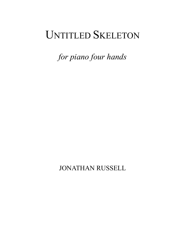## UNTITLED SKELETON

*for piano four hands*

JONATHAN RUSSELL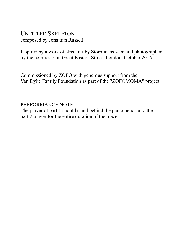## UNTITLED SKELETON composed by Jonathan Russell

Inspired by a work of street art by Stormie, as seen and photographed by the composer on Great Eastern Street, London, October 2016.

Commissioned by ZOFO with generous support from the Van Dyke Family Foundation as part of the "ZOFOMOMA" project.

PERFORMANCE NOTE:

The player of part 1 should stand behind the piano bench and the part 2 player for the entire duration of the piece.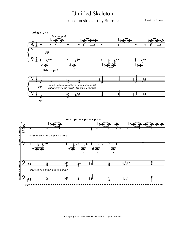## Untitled Skeleton based on street art by Stormie

Jonathan Russell



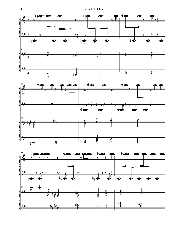

 $\frac{a}{b}$ 







 $\sigma$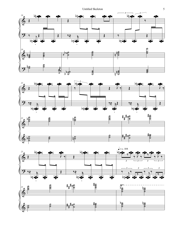Untitled Skeleton 5